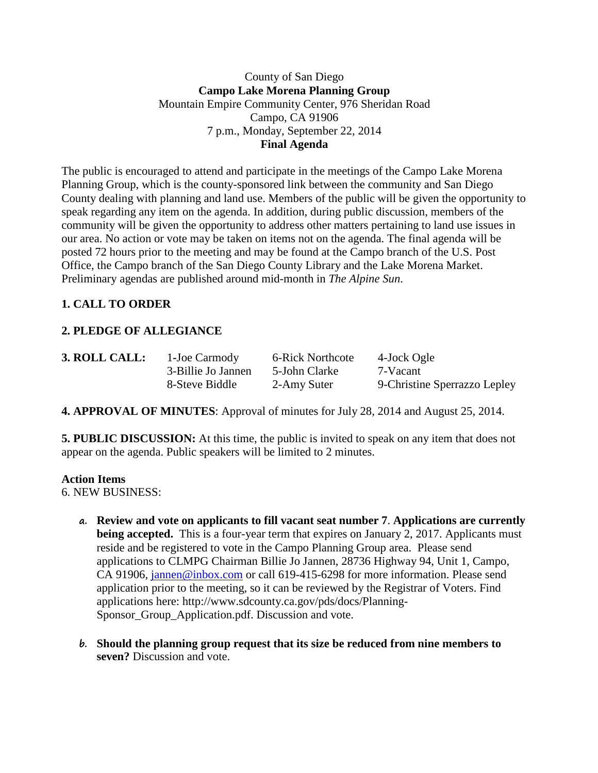# County of San Diego **Campo Lake Morena Planning Group** Mountain Empire Community Center, 976 Sheridan Road Campo, CA 91906 7 p.m., Monday, September 22, 2014 **Final Agenda**

The public is encouraged to attend and participate in the meetings of the Campo Lake Morena Planning Group, which is the county-sponsored link between the community and San Diego County dealing with planning and land use. Members of the public will be given the opportunity to speak regarding any item on the agenda. In addition, during public discussion, members of the community will be given the opportunity to address other matters pertaining to land use issues in our area. No action or vote may be taken on items not on the agenda. The final agenda will be posted 72 hours prior to the meeting and may be found at the Campo branch of the U.S. Post Office, the Campo branch of the San Diego County Library and the Lake Morena Market. Preliminary agendas are published around mid-month in *The Alpine Sun*.

# **1. CALL TO ORDER**

# **2. PLEDGE OF ALLEGIANCE**

| 3. ROLL CALL: | 1-Joe Carmody      | 6-Rick Northcote | 4-Jock Ogle                  |
|---------------|--------------------|------------------|------------------------------|
|               | 3-Billie Jo Jannen | 5-John Clarke    | 7-Vacant                     |
|               | 8-Steve Biddle     | 2-Amy Suter      | 9-Christine Sperrazzo Lepley |

**4. APPROVAL OF MINUTES**: Approval of minutes for July 28, 2014 and August 25, 2014.

**5. PUBLIC DISCUSSION:** At this time, the public is invited to speak on any item that does not appear on the agenda. Public speakers will be limited to 2 minutes.

# **Action Items**

6. NEW BUSINESS:

- **a. Review and vote on applicants to fill vacant seat number 7**. **Applications are currently being accepted.** This is a four-year term that expires on January 2, 2017. Applicants must reside and be registered to vote in the Campo Planning Group area. Please send applications to CLMPG Chairman Billie Jo Jannen, 28736 Highway 94, Unit 1, Campo, CA 91906, [jannen@inbox.com](mailto:campojoe@yahoo.com) or call 619-415-6298 for more information. Please send application prior to the meeting, so it can be reviewed by the Registrar of Voters. Find applications here: http://www.sdcounty.ca.gov/pds/docs/Planning-Sponsor\_Group\_Application.pdf. Discussion and vote.
- **b. Should the planning group request that its size be reduced from nine members to seven?** Discussion and vote.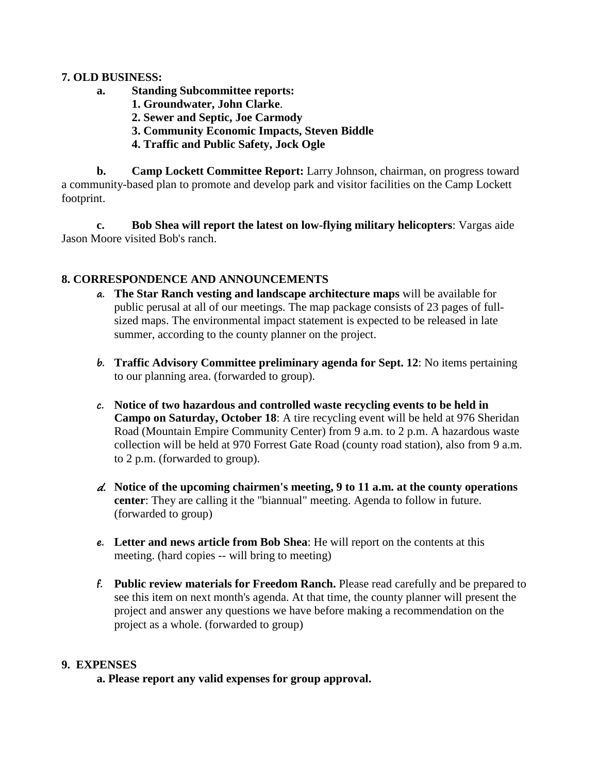#### **7. OLD BUSINESS:**

- **a. Standing Subcommittee reports:**
	- **1. Groundwater, John Clarke**.
	- **2. Sewer and Septic, Joe Carmody**
	- **3. Community Economic Impacts, Steven Biddle**
	- **4. Traffic and Public Safety, Jock Ogle**

**b. Camp Lockett Committee Report:** Larry Johnson, chairman, on progress toward a community-based plan to promote and develop park and visitor facilities on the Camp Lockett footprint.

**c. Bob Shea will report the latest on low-flying military helicopters**: Vargas aide Jason Moore visited Bob's ranch.

# **8. CORRESPONDENCE AND ANNOUNCEMENTS**

- **a. The Star Ranch vesting and landscape architecture maps** will be available for public perusal at all of our meetings. The map package consists of 23 pages of fullsized maps. The environmental impact statement is expected to be released in late summer, according to the county planner on the project.
- **b. Traffic Advisory Committee preliminary agenda for Sept. 12**: No items pertaining to our planning area. (forwarded to group).
- **c. Notice of two hazardous and controlled waste recycling events to be held in Campo on Saturday, October 18**: A tire recycling event will be held at 976 Sheridan Road (Mountain Empire Community Center) from 9 a.m. to 2 p.m. A hazardous waste collection will be held at 970 Forrest Gate Road (county road station), also from 9 a.m. to 2 p.m. (forwarded to group).
- d. **Notice of the upcoming chairmen's meeting, 9 to 11 a.m. at the county operations center**: They are calling it the "biannual" meeting. Agenda to follow in future. (forwarded to group)
- **e. Letter and news article from Bob Shea**: He will report on the contents at this meeting. (hard copies -- will bring to meeting)
- **f. Public review materials for Freedom Ranch.** Please read carefully and be prepared to see this item on next month's agenda. At that time, the county planner will present the project and answer any questions we have before making a recommendation on the project as a whole. (forwarded to group)

# **9. EXPENSES**

**a. Please report any valid expenses for group approval.**